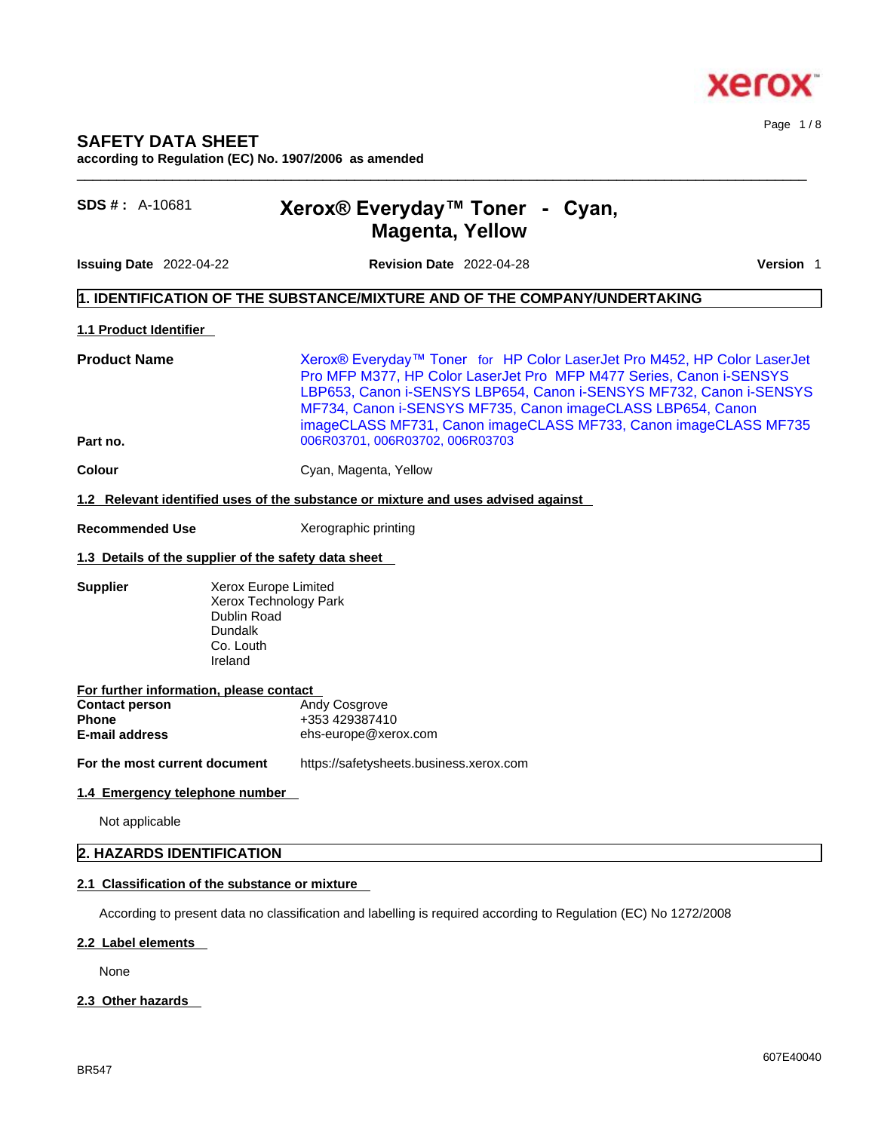

**according to Regulation (EC) No. 1907/2006 as amended** 

# **SDS # :** A-10681 **Xerox® Everyday™ Toner -Cyan, Magenta, Yellow**

**Issuing Date** 2022-04-22 **Revision Date** 2022-04-28 **Version** 1

Page 1 / 8

### **1. IDENTIFICATION OF THE SUBSTANCE/MIXTURE AND OF THE COMPANY/UNDERTAKING**

#### **1.1 Product Identifier**

Product Name **Xerox®** Everyday™ Toner for HP Color LaserJet Pro M452, HP Color LaserJet Pro MFP M377, HP Color LaserJet Pro MFP M477 Series, Canon i-SENSYS LBP653, Canon i-SENSYS LBP654, Canon i-SENSYS MF732, Canon i-SENSYS MF734, Canon i-SENSYS MF735, Canon imageCLASS LBP654, Canon imageCLASS MF731, Canon imageCLASS MF733, Canon imageCLASS MF735 **Part no.** 006R03701, 006R03702, 006R03703

 $\_$  ,  $\_$  ,  $\_$  ,  $\_$  ,  $\_$  ,  $\_$  ,  $\_$  ,  $\_$  ,  $\_$  ,  $\_$  ,  $\_$  ,  $\_$  ,  $\_$  ,  $\_$  ,  $\_$  ,  $\_$  ,  $\_$  ,  $\_$  ,  $\_$  ,  $\_$  ,  $\_$  ,  $\_$  ,  $\_$  ,  $\_$  ,  $\_$  ,  $\_$  ,  $\_$  ,  $\_$  ,  $\_$  ,  $\_$  ,  $\_$  ,  $\_$  ,  $\_$  ,  $\_$  ,  $\_$  ,  $\_$  ,  $\_$  ,

**Colour** Cyan, Magenta, Yellow

### **1.2 Relevant identified uses of the substance or mixture and uses advised against**

**Recommended Use** Xerographic printing

#### **1.3 Details of the supplier of the safety data sheet**

**Supplier** Xerox Europe Limited Xerox Technology Park Dublin Road Dundalk Co. Louth Ireland

| For further information, please contact |                      |  |  |  |
|-----------------------------------------|----------------------|--|--|--|
| <b>Contact person</b>                   | <b>Andy Cosgrove</b> |  |  |  |
| <b>Phone</b>                            | +353 429387410       |  |  |  |
| E-mail address                          | ehs-europe@xerox.com |  |  |  |
|                                         |                      |  |  |  |

**For the most current document** https://safetysheets.business.xerox.com

# **1.4 Emergency telephone number**

Not applicable

# **2. HAZARDS IDENTIFICATION**

# **2.1 Classification of the substance or mixture**

According to present data no classification and labelling is required according to Regulation (EC) No 1272/2008

# **2.2 Label elements**

None

# **2.3 Other hazards**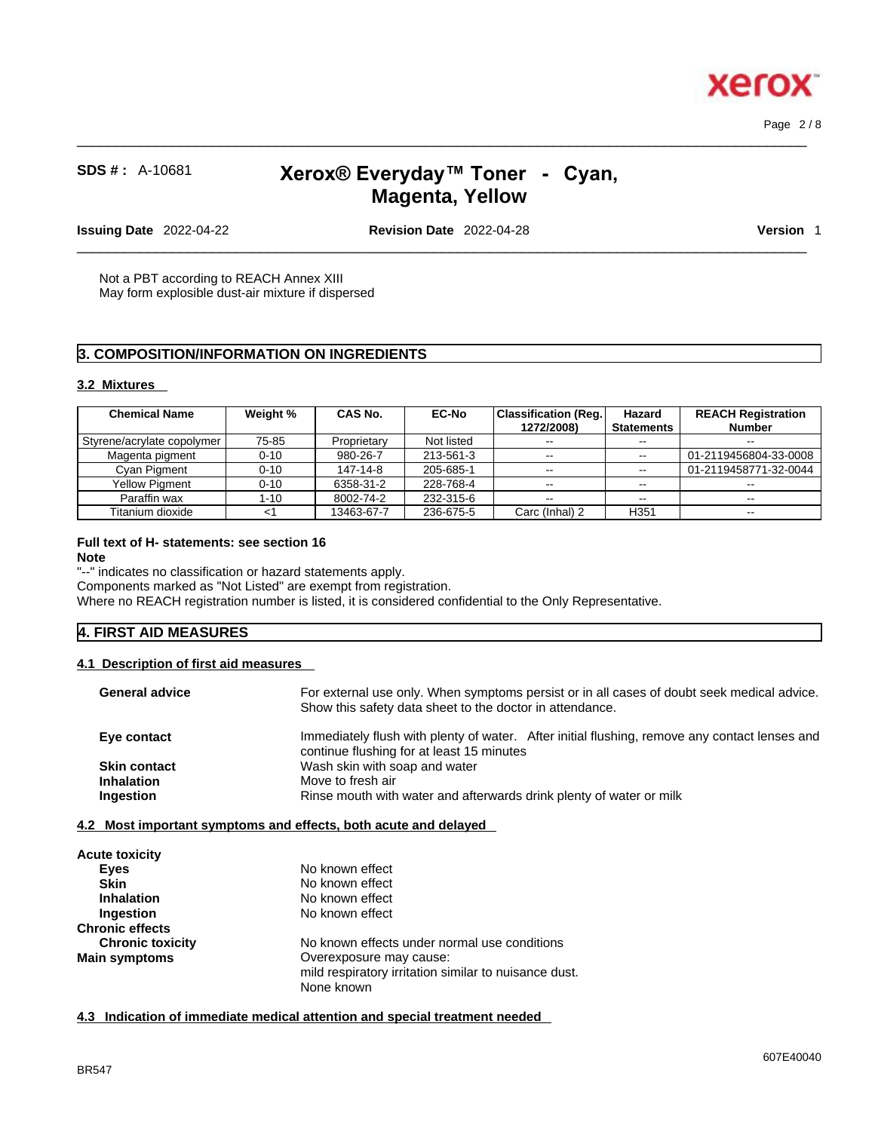Page 2 / 8

**Xero** 

# **SDS # :** A-10681 **Xerox® Everyday™ Toner -Cyan, Magenta, Yellow**

 $\_$  ,  $\_$  ,  $\_$  ,  $\_$  ,  $\_$  ,  $\_$  ,  $\_$  ,  $\_$  ,  $\_$  ,  $\_$  ,  $\_$  ,  $\_$  ,  $\_$  ,  $\_$  ,  $\_$  ,  $\_$  ,  $\_$  ,  $\_$  ,  $\_$  ,  $\_$  ,  $\_$  ,  $\_$  ,  $\_$  ,  $\_$  ,  $\_$  ,  $\_$  ,  $\_$  ,  $\_$  ,  $\_$  ,  $\_$  ,  $\_$  ,  $\_$  ,  $\_$  ,  $\_$  ,  $\_$  ,  $\_$  ,  $\_$  ,

**Issuing Date** 2022-04-22 **Revision Date** 2022-04-28 **Version** 1

 $\_$  ,  $\_$  ,  $\_$  ,  $\_$  ,  $\_$  ,  $\_$  ,  $\_$  ,  $\_$  ,  $\_$  ,  $\_$  ,  $\_$  ,  $\_$  ,  $\_$  ,  $\_$  ,  $\_$  ,  $\_$  ,  $\_$  ,  $\_$  ,  $\_$  ,  $\_$  ,  $\_$  ,  $\_$  ,  $\_$  ,  $\_$  ,  $\_$  ,  $\_$  ,  $\_$  ,  $\_$  ,  $\_$  ,  $\_$  ,  $\_$  ,  $\_$  ,  $\_$  ,  $\_$  ,  $\_$  ,  $\_$  ,  $\_$  ,

Not a PBT according to REACH Annex XIII May form explosible dust-air mixture if dispersed

# **3. COMPOSITION/INFORMATION ON INGREDIENTS**

## **3.2 Mixtures**

| <b>Chemical Name</b>       | Weight % | CAS No.     | <b>EC-No</b> | Classification (Reg.) | Hazard            | <b>REACH Registration</b> |  |
|----------------------------|----------|-------------|--------------|-----------------------|-------------------|---------------------------|--|
|                            |          |             |              | 1272/2008)            | <b>Statements</b> | Number                    |  |
| Styrene/acrylate copolymer | 75-85    | Proprietary | Not listed   | $\sim$ $\sim$         | $-1$              | $- -$                     |  |
| Magenta pigment            | $0 - 10$ | 980-26-7    | 213-561-3    | $\sim$ $\sim$         | $\sim$ $\sim$     | 01-2119456804-33-0008     |  |
| Cyan Pigment               | $0 - 10$ | 147-14-8    | 205-685-1    | $\sim$ $\sim$         | $- -$             | 01-2119458771-32-0044     |  |
| <b>Yellow Piament</b>      | $0 - 10$ | 6358-31-2   | 228-768-4    |                       | $\sim$ $\sim$     |                           |  |
| Paraffin wax               | $1 - 10$ | 8002-74-2   | 232-315-6    | $-$                   | $-1$              | $- -$                     |  |
| Titanium dioxide           |          | 13463-67-7  | 236-675-5    | Carc (Inhal) 2        | H <sub>351</sub>  | $\sim$ $\sim$             |  |

### **Full text of H- statements: see section 16**

#### **Note**

"--" indicates no classification or hazard statements apply.

Components marked as "Not Listed" are exempt from registration.

Where no REACH registration number is listed, it is considered confidential to the Only Representative.

# **4. FIRST AID MEASURES**

#### **4.1 Description of first aid measures**

| <b>General advice</b> | For external use only. When symptoms persist or in all cases of doubt seek medical advice.<br>Show this safety data sheet to the doctor in attendance. |
|-----------------------|--------------------------------------------------------------------------------------------------------------------------------------------------------|
| Eye contact           | Immediately flush with plenty of water. After initial flushing, remove any contact lenses and<br>continue flushing for at least 15 minutes             |
| <b>Skin contact</b>   | Wash skin with soap and water                                                                                                                          |
| <b>Inhalation</b>     | Move to fresh air                                                                                                                                      |
| <b>Ingestion</b>      | Rinse mouth with water and afterwards drink plenty of water or milk                                                                                    |
|                       | 4.2 Most important symptoms and effects, both acute and delayed                                                                                        |
| A access discutation  |                                                                                                                                                        |

| <b>Acute toxicity</b>   |                                                       |  |
|-------------------------|-------------------------------------------------------|--|
| <b>Eves</b>             | No known effect                                       |  |
| <b>Skin</b>             | No known effect                                       |  |
| <b>Inhalation</b>       | No known effect                                       |  |
| Ingestion               | No known effect                                       |  |
| <b>Chronic effects</b>  |                                                       |  |
| <b>Chronic toxicity</b> | No known effects under normal use conditions          |  |
| <b>Main symptoms</b>    | Overexposure may cause:                               |  |
|                         | mild respiratory irritation similar to nuisance dust. |  |
|                         | None known                                            |  |
|                         |                                                       |  |

**4.3 Indication of immediate medical attention and special treatment needed**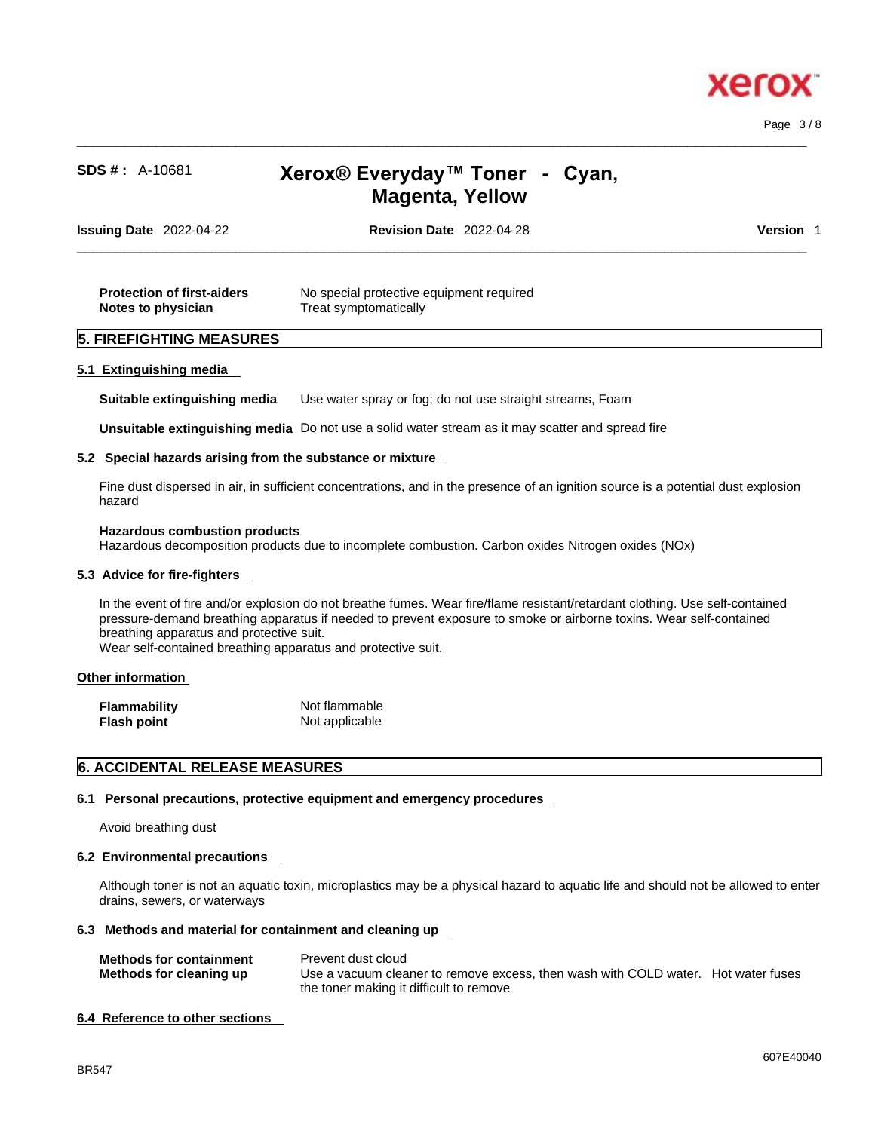

Page 3 / 8

# **SDS # :** A-10681 **Xerox® Everyday™ Toner -Cyan, Magenta, Yellow**

 $\_$  ,  $\_$  ,  $\_$  ,  $\_$  ,  $\_$  ,  $\_$  ,  $\_$  ,  $\_$  ,  $\_$  ,  $\_$  ,  $\_$  ,  $\_$  ,  $\_$  ,  $\_$  ,  $\_$  ,  $\_$  ,  $\_$  ,  $\_$  ,  $\_$  ,  $\_$  ,  $\_$  ,  $\_$  ,  $\_$  ,  $\_$  ,  $\_$  ,  $\_$  ,  $\_$  ,  $\_$  ,  $\_$  ,  $\_$  ,  $\_$  ,  $\_$  ,  $\_$  ,  $\_$  ,  $\_$  ,  $\_$  ,  $\_$  ,

| Issuing Date 2022-04-22 | <b>Revision Date 2022-04-28</b> | Version |  |
|-------------------------|---------------------------------|---------|--|
|                         |                                 |         |  |

| <b>Protection of first-aiders</b> | No special protective equipment required |
|-----------------------------------|------------------------------------------|
| Notes to physician                | Treat symptomatically                    |

#### **5. FIREFIGHTING MEASURES**

#### **5.1 Extinguishing media**

**Suitable extinguishing media** Use water spray or fog; do not use straight streams, Foam

**Unsuitable extinguishing media** Do not use a solid water stream as it may scatterand spread fire

#### **5.2 Special hazards arising from the substance or mixture**

Fine dust dispersed in air, in sufficient concentrations, and in the presence of an ignition source is a potential dust explosion hazard

#### **Hazardous combustion products**

Hazardous decomposition products due to incomplete combustion. Carbon oxides Nitrogen oxides (NOx)

#### **5.3 Advice for fire-fighters**

In the event of fire and/or explosion do not breathe fumes. Wear fire/flame resistant/retardant clothing. Use self-contained pressure-demand breathing apparatus if needed to prevent exposure to smoke or airborne toxins. Wear self-contained breathing apparatus and protective suit.

Wear self-contained breathing apparatus and protective suit.

#### **Other information**

| <b>Flammability</b> | Not flammable  |
|---------------------|----------------|
| Flash point         | Not applicable |

#### **6. ACCIDENTAL RELEASE MEASURES**

#### **6.1 Personal precautions, protective equipment and emergency procedures**

Avoid breathing dust

#### **6.2 Environmental precautions**

Although toner is not an aquatic toxin, microplastics may be a physical hazard to aquatic life and should not be allowed to enter drains, sewers, or waterways

#### **6.3 Methods and material for containment and cleaning up**

| <b>Methods for containment</b> | Prevent dust cloud                                                                |  |
|--------------------------------|-----------------------------------------------------------------------------------|--|
| Methods for cleaning up        | Use a vacuum cleaner to remove excess, then wash with COLD water. Hot water fuses |  |
|                                | the toner making it difficult to remove                                           |  |

#### **6.4 Reference to other sections**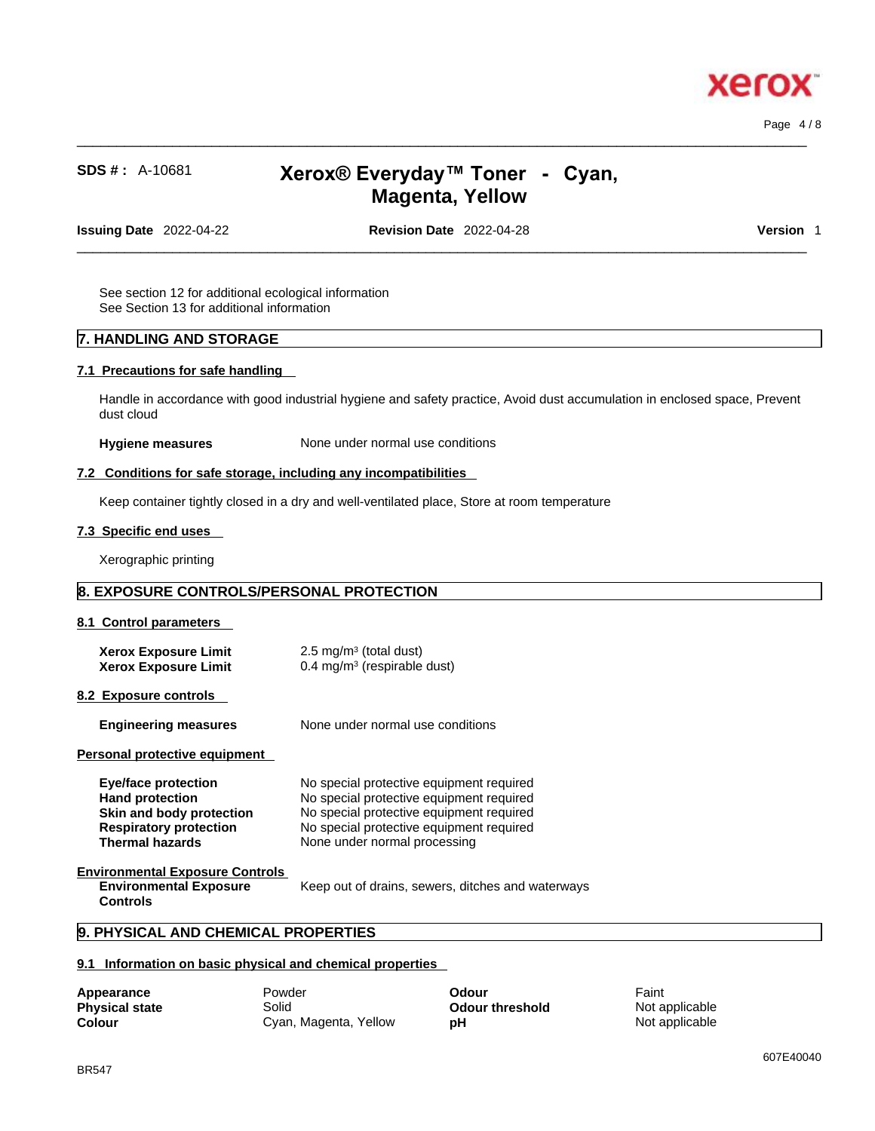

Page 4 / 8

# **SDS # :** A-10681 **Xerox® Everyday™ Toner -Cyan, Magenta, Yellow**

 $\_$  ,  $\_$  ,  $\_$  ,  $\_$  ,  $\_$  ,  $\_$  ,  $\_$  ,  $\_$  ,  $\_$  ,  $\_$  ,  $\_$  ,  $\_$  ,  $\_$  ,  $\_$  ,  $\_$  ,  $\_$  ,  $\_$  ,  $\_$  ,  $\_$  ,  $\_$  ,  $\_$  ,  $\_$  ,  $\_$  ,  $\_$  ,  $\_$  ,  $\_$  ,  $\_$  ,  $\_$  ,  $\_$  ,  $\_$  ,  $\_$  ,  $\_$  ,  $\_$  ,  $\_$  ,  $\_$  ,  $\_$  ,  $\_$  ,

**Issuing Date** 2022-04-22 **Revision Date** 2022-04-28 **Version** 1

 $\_$  ,  $\_$  ,  $\_$  ,  $\_$  ,  $\_$  ,  $\_$  ,  $\_$  ,  $\_$  ,  $\_$  ,  $\_$  ,  $\_$  ,  $\_$  ,  $\_$  ,  $\_$  ,  $\_$  ,  $\_$  ,  $\_$  ,  $\_$  ,  $\_$  ,  $\_$  ,  $\_$  ,  $\_$  ,  $\_$  ,  $\_$  ,  $\_$  ,  $\_$  ,  $\_$  ,  $\_$  ,  $\_$  ,  $\_$  ,  $\_$  ,  $\_$  ,  $\_$  ,  $\_$  ,  $\_$  ,  $\_$  ,  $\_$  ,

See section 12 for additional ecological information See Section 13 for additional information

### **7. HANDLING AND STORAGE**

#### **7.1 Precautions for safe handling**

Handle in accordance with good industrial hygiene and safety practice, Avoid dust accumulation in enclosed space, Prevent dust cloud

**Hygiene measures** None under normal use conditions

#### **7.2 Conditions for safe storage, including any incompatibilities**

Keep container tightly closed in a dry and well-ventilated place, Store at room temperature

### **7.3 Specific end uses**

Xerographic printing

# **8. EXPOSURE CONTROLS/PERSONAL PROTECTION**

#### **8.1 Control parameters**

| <b>Xerox Exposure Limit</b> | $2.5 \text{ mg/m}^3$ (total dust)       |
|-----------------------------|-----------------------------------------|
| <b>Xerox Exposure Limit</b> | 0.4 mg/m <sup>3</sup> (respirable dust) |

#### **8.2 Exposure controls**

| <b>Engineering measures</b> | None under normal use conditions |
|-----------------------------|----------------------------------|
|-----------------------------|----------------------------------|

#### **Personal protective equipment**

| Eye/face protection           | No special protective equipment required |
|-------------------------------|------------------------------------------|
| <b>Hand protection</b>        | No special protective equipment required |
| Skin and body protection      | No special protective equipment required |
| <b>Respiratory protection</b> | No special protective equipment required |
| <b>Thermal hazards</b>        | None under normal processing             |

# **Environmental Exposure Controls**

**Environmental Exposure Controls**  Keep out of drains, sewers, ditches and waterways

#### **9. PHYSICAL AND CHEMICAL PROPERTIES**

#### **9.1 Information on basic physical and chemical properties**

| Appearance            | Powder                | Odour           | Faint          |
|-----------------------|-----------------------|-----------------|----------------|
| <b>Physical state</b> | Solid                 | Odour threshold | Not applicable |
| <b>Colour</b>         | Cyan, Magenta, Yellow | рH              | Not applicable |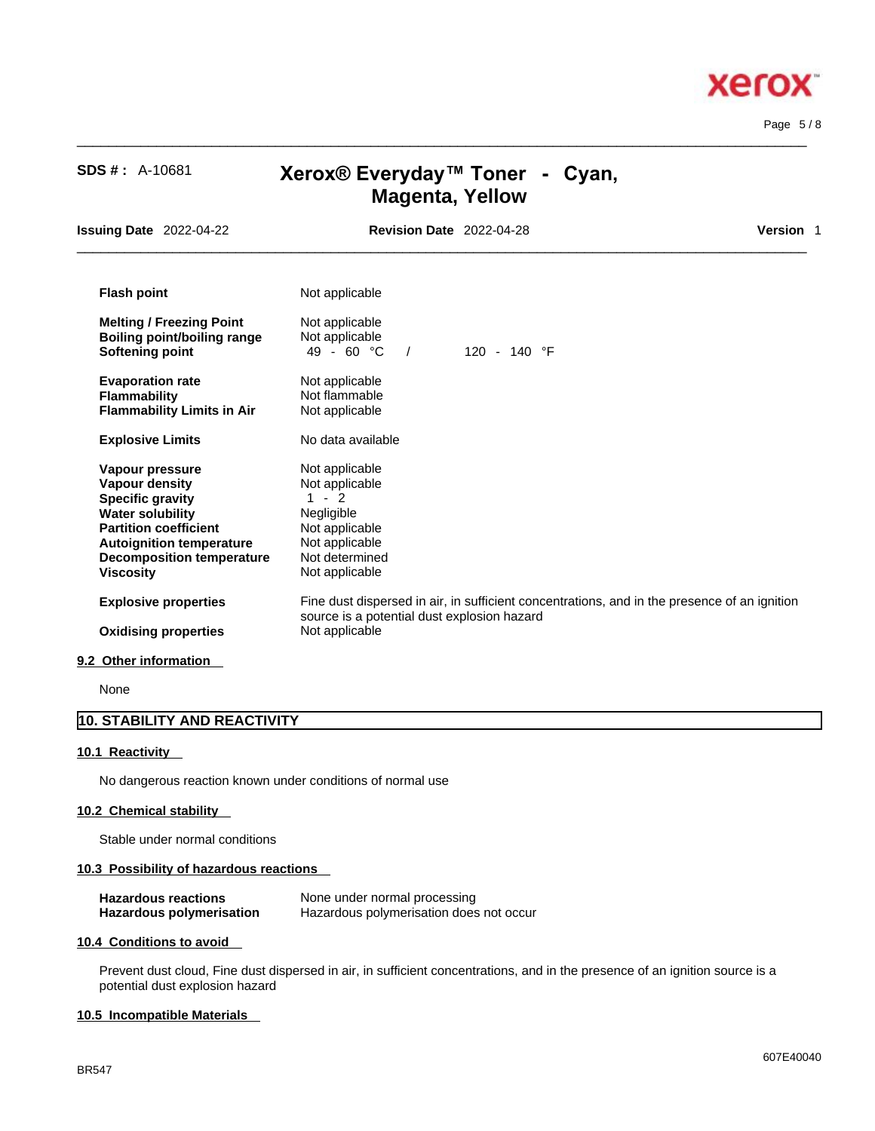

Page 5 / 8

| <b>SDS #: A-10681</b>                                                                                                                                                                                              | Xerox® Everyday™ Toner - Cyan,<br><b>Magenta, Yellow</b>                                                                                                      |           |
|--------------------------------------------------------------------------------------------------------------------------------------------------------------------------------------------------------------------|---------------------------------------------------------------------------------------------------------------------------------------------------------------|-----------|
| <b>Issuing Date 2022-04-22</b>                                                                                                                                                                                     | <b>Revision Date 2022-04-28</b>                                                                                                                               | Version 1 |
| <b>Flash point</b>                                                                                                                                                                                                 | Not applicable                                                                                                                                                |           |
| <b>Melting / Freezing Point</b><br>Boiling point/boiling range<br>Softening point                                                                                                                                  | Not applicable<br>Not applicable<br>$49 - 60 °C$<br>120 - 140 °F<br>$\sqrt{ }$                                                                                |           |
| <b>Evaporation rate</b><br><b>Flammability</b><br><b>Flammability Limits in Air</b>                                                                                                                                | Not applicable<br>Not flammable<br>Not applicable                                                                                                             |           |
| <b>Explosive Limits</b>                                                                                                                                                                                            | No data available                                                                                                                                             |           |
| Vapour pressure<br>Vapour density<br><b>Specific gravity</b><br><b>Water solubility</b><br><b>Partition coefficient</b><br><b>Autoignition temperature</b><br><b>Decomposition temperature</b><br><b>Viscosity</b> | Not applicable<br>Not applicable<br>$1 - 2$<br>Negligible<br>Not applicable<br>Not applicable<br>Not determined<br>Not applicable                             |           |
| <b>Explosive properties</b>                                                                                                                                                                                        | Fine dust dispersed in air, in sufficient concentrations, and in the presence of an ignition<br>source is a potential dust explosion hazard<br>Not applicable |           |

 $\_$  ,  $\_$  ,  $\_$  ,  $\_$  ,  $\_$  ,  $\_$  ,  $\_$  ,  $\_$  ,  $\_$  ,  $\_$  ,  $\_$  ,  $\_$  ,  $\_$  ,  $\_$  ,  $\_$  ,  $\_$  ,  $\_$  ,  $\_$  ,  $\_$  ,  $\_$  ,  $\_$  ,  $\_$  ,  $\_$  ,  $\_$  ,  $\_$  ,  $\_$  ,  $\_$  ,  $\_$  ,  $\_$  ,  $\_$  ,  $\_$  ,  $\_$  ,  $\_$  ,  $\_$  ,  $\_$  ,  $\_$  ,  $\_$  ,

None

# **10. STABILITY AND REACTIVITY**

### **10.1 Reactivity**

No dangerous reaction known under conditions of normal use

### **10.2 Chemical stability**

Stable under normal conditions

#### **10.3 Possibility of hazardous reactions**

| <b>Hazardous reactions</b> | None under normal processing            |
|----------------------------|-----------------------------------------|
| Hazardous polymerisation   | Hazardous polymerisation does not occur |

#### **10.4 Conditions to avoid**

Prevent dust cloud, Fine dust dispersed in air, in sufficient concentrations, and in the presence of an ignition source is a potential dust explosion hazard

#### **10.5 Incompatible Materials**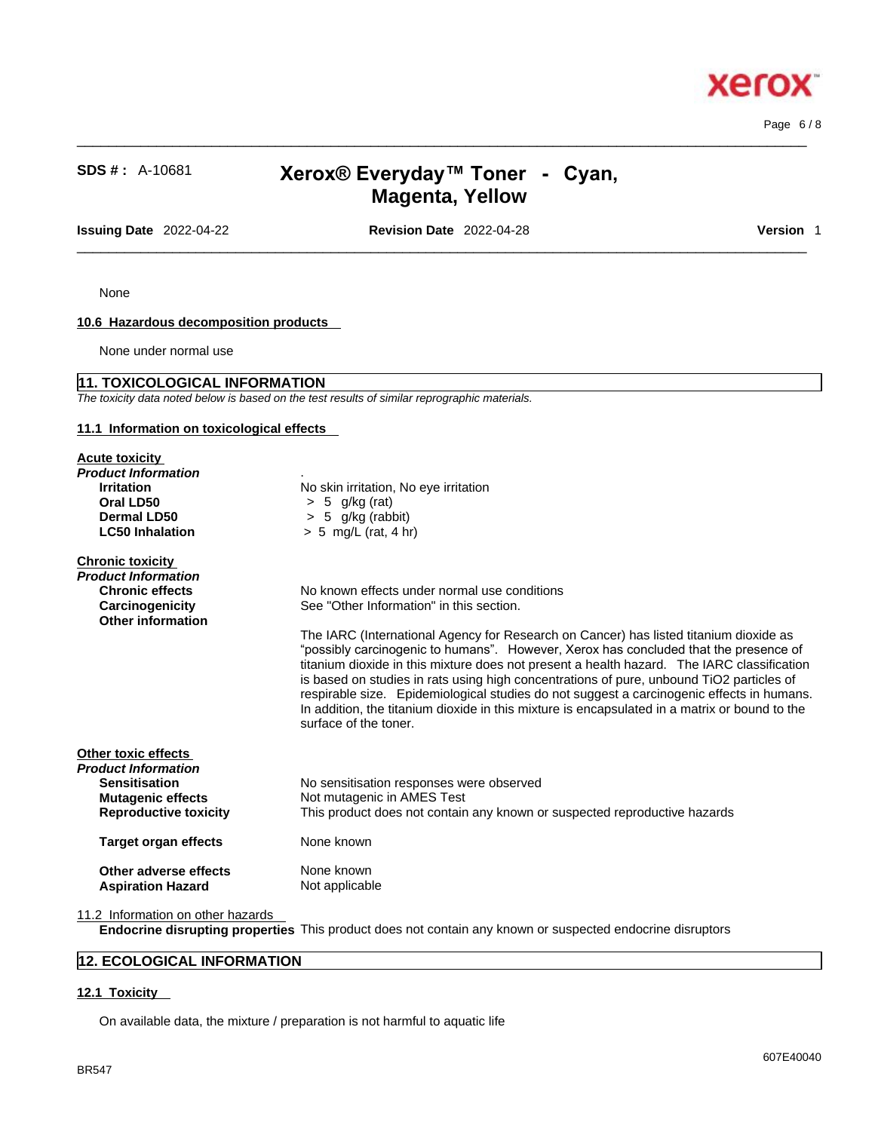**xero** 

# **SDS # :** A-10681 **Xerox® Everyday™ Toner -Cyan, Magenta, Yellow**

 $\_$  ,  $\_$  ,  $\_$  ,  $\_$  ,  $\_$  ,  $\_$  ,  $\_$  ,  $\_$  ,  $\_$  ,  $\_$  ,  $\_$  ,  $\_$  ,  $\_$  ,  $\_$  ,  $\_$  ,  $\_$  ,  $\_$  ,  $\_$  ,  $\_$  ,  $\_$  ,  $\_$  ,  $\_$  ,  $\_$  ,  $\_$  ,  $\_$  ,  $\_$  ,  $\_$  ,  $\_$  ,  $\_$  ,  $\_$  ,  $\_$  ,  $\_$  ,  $\_$  ,  $\_$  ,  $\_$  ,  $\_$  ,  $\_$  ,

**Issuing Date** 2022-04-22 **Revision Date** 2022-04-28 **Version** 1

 $\_$  ,  $\_$  ,  $\_$  ,  $\_$  ,  $\_$  ,  $\_$  ,  $\_$  ,  $\_$  ,  $\_$  ,  $\_$  ,  $\_$  ,  $\_$  ,  $\_$  ,  $\_$  ,  $\_$  ,  $\_$  ,  $\_$  ,  $\_$  ,  $\_$  ,  $\_$  ,  $\_$  ,  $\_$  ,  $\_$  ,  $\_$  ,  $\_$  ,  $\_$  ,  $\_$  ,  $\_$  ,  $\_$  ,  $\_$  ,  $\_$  ,  $\_$  ,  $\_$  ,  $\_$  ,  $\_$  ,  $\_$  ,  $\_$  ,

None

# **10.6 Hazardous decomposition products**

None under normal use

## **11. TOXICOLOGICAL INFORMATION**

*The toxicity data noted below is based on the test results of similar reprographic materials.* 

#### **11.1 Information on toxicological effects**

| <b>Acute toxicity</b><br>Product Information<br><b>Irritation</b><br>Oral LD50<br>Dermal LD50<br><b>LC50 Inhalation</b> | No skin irritation, No eye irritation<br>$> 5$ g/kg (rat)<br>$> 5$ g/kg (rabbit)<br>$> 5$ mg/L (rat, 4 hr) |
|-------------------------------------------------------------------------------------------------------------------------|------------------------------------------------------------------------------------------------------------|
| <b>Chronic toxicity</b>                                                                                                 |                                                                                                            |
| Product Information                                                                                                     |                                                                                                            |
| <b>Chronic effects</b>                                                                                                  | No known effects under normal use conditions                                                               |
| Carcinogenicity<br><b>Other information</b>                                                                             | See "Other Information" in this section.                                                                   |
|                                                                                                                         | The IARC (International Agency for Research on Cancer) has listed titanium dioxide as                      |
|                                                                                                                         | "possibly carcinogenic to humans". However, Xerox has concluded that the presence of                       |
|                                                                                                                         | titanium dioxide in this mixture does not present a health hazard. The IARC classification                 |
|                                                                                                                         | is based on studies in rats using high concentrations of pure, unbound TiO2 particles of                   |
|                                                                                                                         | respirable size. Epidemiological studies do not suggest a carcinogenic effects in humans.                  |
|                                                                                                                         | In addition, the titanium dioxide in this mixture is encapsulated in a matrix or bound to the              |
|                                                                                                                         | surface of the toner.                                                                                      |
|                                                                                                                         |                                                                                                            |
| Other toxic effects<br>Product Information                                                                              |                                                                                                            |
| <b>Sensitisation</b>                                                                                                    | No sensitisation responses were observed                                                                   |
| <b>Mutagenic effects</b>                                                                                                | Not mutagenic in AMES Test                                                                                 |
| <b>Reproductive toxicity</b>                                                                                            | This product does not contain any known or suspected reproductive hazards                                  |
|                                                                                                                         |                                                                                                            |
| Target organ effects                                                                                                    | None known                                                                                                 |
| Other adverse effects                                                                                                   | None known                                                                                                 |
| <b>Aspiration Hazard</b>                                                                                                | Not applicable                                                                                             |

11.2 Information on other hazards

**Endocrine disrupting properties** This product does not contain any known or suspected endocrine disruptors

# **12. ECOLOGICAL INFORMATION**

### **12.1 Toxicity**

On available data, the mixture / preparation is not harmful to aquatic life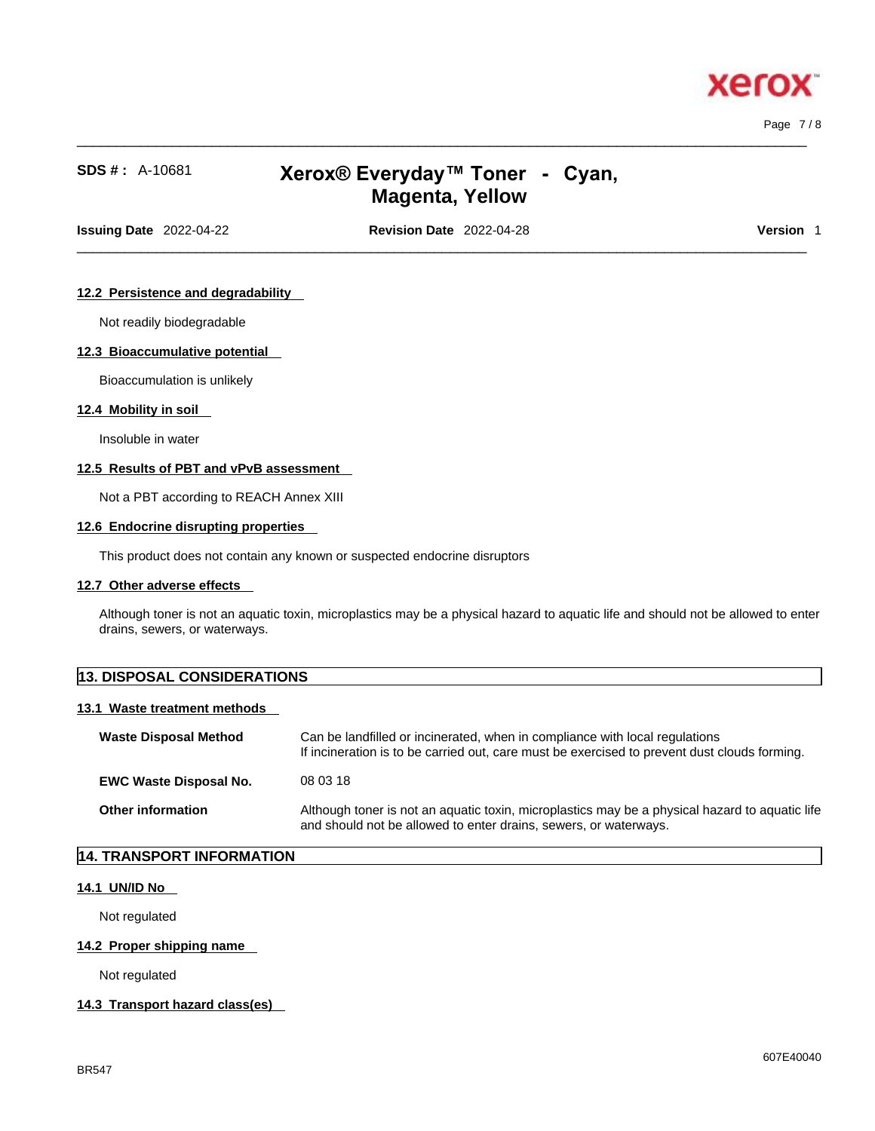

Page 7 / 8

# **SDS # :** A-10681 **Xerox® Everyday™ Toner -Cyan, Magenta, Yellow**

 $\_$  ,  $\_$  ,  $\_$  ,  $\_$  ,  $\_$  ,  $\_$  ,  $\_$  ,  $\_$  ,  $\_$  ,  $\_$  ,  $\_$  ,  $\_$  ,  $\_$  ,  $\_$  ,  $\_$  ,  $\_$  ,  $\_$  ,  $\_$  ,  $\_$  ,  $\_$  ,  $\_$  ,  $\_$  ,  $\_$  ,  $\_$  ,  $\_$  ,  $\_$  ,  $\_$  ,  $\_$  ,  $\_$  ,  $\_$  ,  $\_$  ,  $\_$  ,  $\_$  ,  $\_$  ,  $\_$  ,  $\_$  ,  $\_$  ,

**Issuing Date** 2022-04-22 **Revision Date** 2022-04-28 **Version** 1

 $\_$  ,  $\_$  ,  $\_$  ,  $\_$  ,  $\_$  ,  $\_$  ,  $\_$  ,  $\_$  ,  $\_$  ,  $\_$  ,  $\_$  ,  $\_$  ,  $\_$  ,  $\_$  ,  $\_$  ,  $\_$  ,  $\_$  ,  $\_$  ,  $\_$  ,  $\_$  ,  $\_$  ,  $\_$  ,  $\_$  ,  $\_$  ,  $\_$  ,  $\_$  ,  $\_$  ,  $\_$  ,  $\_$  ,  $\_$  ,  $\_$  ,  $\_$  ,  $\_$  ,  $\_$  ,  $\_$  ,  $\_$  ,  $\_$  ,

### **12.2 Persistence and degradability**

Not readily biodegradable

#### **12.3 Bioaccumulative potential**

Bioaccumulation is unlikely

#### **12.4 Mobility in soil**

Insoluble in water

#### **12.5 Results of PBT and vPvB assessment**

Not a PBT according to REACH Annex XIII

#### **12.6 Endocrine disrupting properties**

This product does not contain any known or suspected endocrine disruptors

#### **12.7 Other adverse effects**

Although toner is not an aquatic toxin, microplastics may be a physical hazard to aquatic life and should not be allowed to enter drains, sewers, or waterways.

# **13. DISPOSAL CONSIDERATIONS 13.1 Waste treatment methods Waste Disposal Method** Can be landfilled or incinerated, when in compliance with local regulations If incineration is to be carried out, care must be exercised to prevent dust clouds forming. **EWC Waste Disposal No.** 08 03 18 **Other information** Although toner is not an aquatic toxin, microplastics may be a physical hazard to aquatic life

and should not be allowed to enter drains, sewers, or waterways.

# **14. TRANSPORT INFORMATION**

### **14.1 UN/ID No**

Not regulated

#### **14.2 Proper shipping name**

Not regulated

#### **14.3 Transport hazard class(es)**